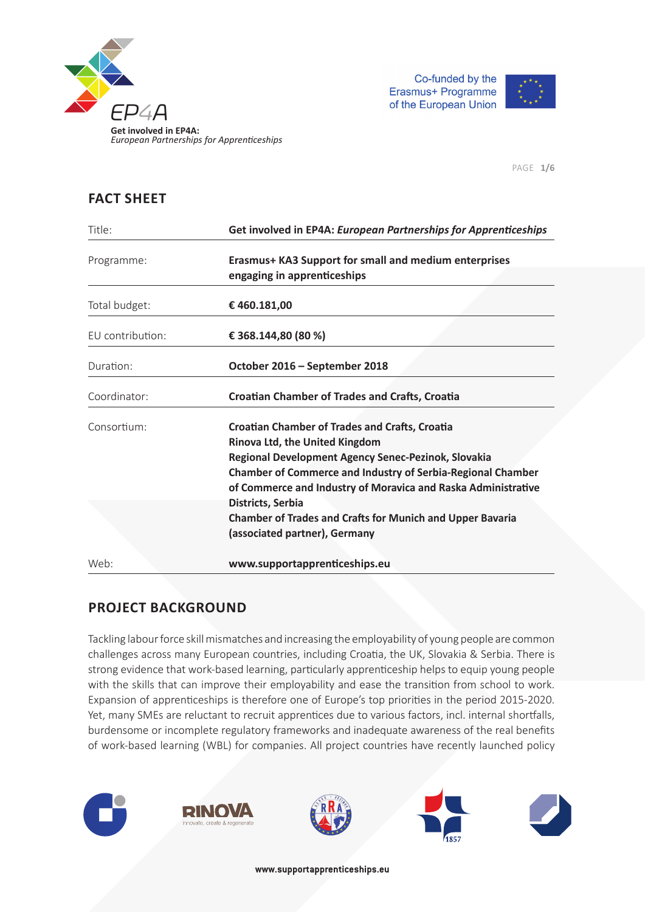



PAGE **1/6**

### **FACT SHEET**

| Title:           | Get involved in EP4A: European Partnerships for Apprenticeships                                                                                                                                                                                                                                            |
|------------------|------------------------------------------------------------------------------------------------------------------------------------------------------------------------------------------------------------------------------------------------------------------------------------------------------------|
| Programme:       | Erasmus+ KA3 Support for small and medium enterprises<br>engaging in apprenticeships                                                                                                                                                                                                                       |
| Total budget:    | €460.181,00                                                                                                                                                                                                                                                                                                |
| EU contribution: | € 368.144,80 (80 %)                                                                                                                                                                                                                                                                                        |
| Duration:        | October 2016 - September 2018                                                                                                                                                                                                                                                                              |
| Coordinator:     | <b>Croatian Chamber of Trades and Crafts, Croatia</b>                                                                                                                                                                                                                                                      |
| Consortium:      | <b>Croatian Chamber of Trades and Crafts, Croatia</b><br>Rinova Ltd, the United Kingdom<br>Regional Development Agency Senec-Pezinok, Slovakia<br><b>Chamber of Commerce and Industry of Serbia-Regional Chamber</b><br>of Commerce and Industry of Moravica and Raska Administrative<br>Districts, Serbia |
| Web:             | <b>Chamber of Trades and Crafts for Munich and Upper Bavaria</b><br>(associated partner), Germany<br>www.supportapprenticeships.eu                                                                                                                                                                         |

# **PROJECT BACKGROUND**

Tackling labour force skill mismatches and increasing the employability of young people are common challenges across many European countries, including Croatia, the UK, Slovakia & Serbia. There is strong evidence that work-based learning, particularly apprenticeship helps to equip young people with the skills that can improve their employability and ease the transition from school to work. Expansion of apprenticeships is therefore one of Europe's top priorities in the period 2015-2020. Yet, many SMEs are reluctant to recruit apprentices due to various factors, incl. internal shortfalls, burdensome or incomplete regulatory frameworks and inadequate awareness of the real benefits of work-based learning (WBL) for companies. All project countries have recently launched policy

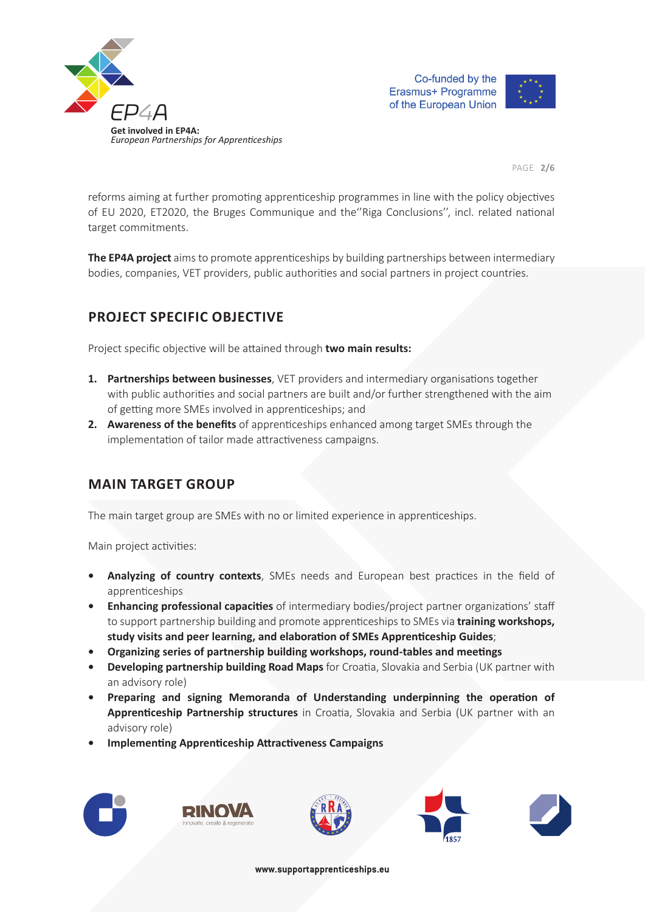





PAGE **2/6**

reforms aiming at further promoting apprenticeship programmes in line with the policy objectives of EU 2020, ET2020, the Bruges Communique and the "Riga Conclusions", incl. related national target commitments.

**The EP4A project** aims to promote apprenticeships by building partnerships between intermediary bodies, companies, VET providers, public authorities and social partners in project countries.

# **PROJECT SPECIFIC OBJECTIVE**

Project specific objective will be attained through **two main results:** 

- **1. Partnerships between businesses**, VET providers and intermediary organisations together with public authorities and social partners are built and/or further strengthened with the aim of getting more SMEs involved in apprenticeships; and
- **2.** Awareness of the benefits of apprenticeships enhanced among target SMEs through the implementation of tailor made attractiveness campaigns.

### **MAIN TARGET GROUP**

The main target group are SMEs with no or limited experience in apprenticeships.

Main project activities:

- Analyzing of country contexts, SMEs needs and European best practices in the field of apprenticeships
- **Enhancing professional capacities** of intermediary bodies/project partner organizations' staff to support partnership building and promote apprenticeships to SMEs via **training workshops, study visits and peer learning, and elaboraƟ on of SMEs ApprenƟ ceship Guides**;
- **Organizing series of partnership building workshops, round-tables and meetings**
- **Developing partnership building Road Maps** for Croatia, Slovakia and Serbia (UK partner with an advisory role)
- **Preparing and signing Memoranda of Understanding underpinning the operation of** Apprenticeship Partnership structures in Croatia, Slovakia and Serbia (UK partner with an advisory role)
- **Implementing Apprenticeship Attractiveness Campaigns**









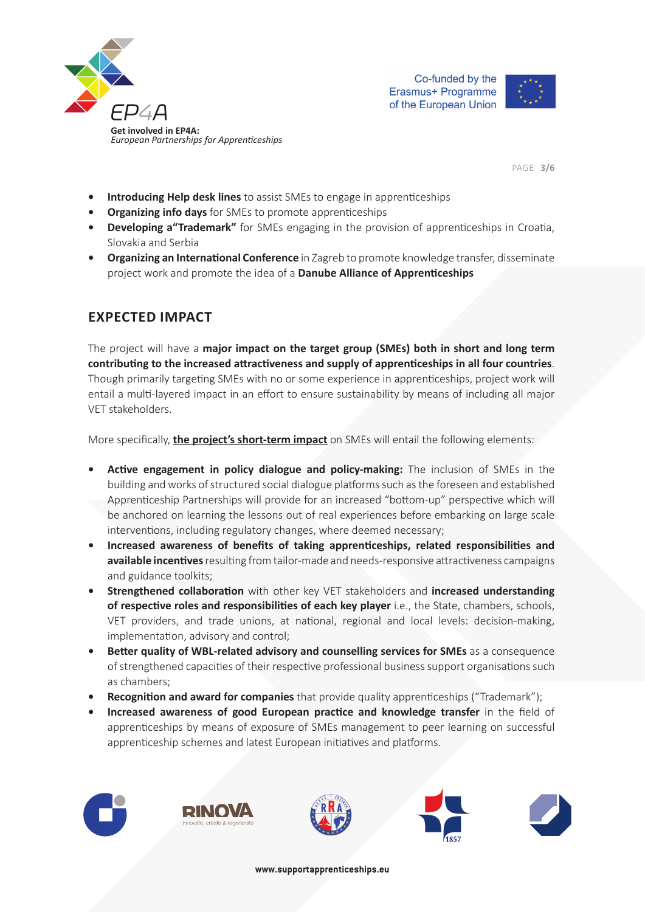



PAGE **3/6**

- **Introducing Help desk lines** to assist SMEs to engage in apprenticeships
- **Organizing info days** for SMEs to promote apprenticeships
- Developing a"Trademark" for SMEs engaging in the provision of apprenticeships in Croatia, Slovakia and Serbia
- **Organizing an International Conference** in Zagreb to promote knowledge transfer, disseminate project work and promote the idea of a **Danube Alliance of Apprenticeships**

# **EXPECTED IMPACT**

The project will have a **major impact on the target group (SMEs) both in short and long term contribuƟ ng to the increased aƩ racƟ veness and supply of apprenƟ ceships in all four countries**. Though primarily targeting SMEs with no or some experience in apprenticeships, project work will entail a multi-layered impact in an effort to ensure sustainability by means of including all major VET stakeholders.

More specifically, **the project's short-term impact** on SMEs will entail the following elements:

- **Active engagement in policy dialogue and policy-making:** The inclusion of SMEs in the building and works of structured social dialogue platforms such as the foreseen and established Apprenticeship Partnerships will provide for an increased "bottom-up" perspective which will be anchored on learning the lessons out of real experiences before embarking on large scale interventions, including regulatory changes, where deemed necessary;
- Increased awareness of benefits of taking apprenticeships, related responsibilities and available incentives resulting from tailor-made and needs-responsive attractiveness campaigns and guidance toolkits;
- **Strengthened collaboration** with other key VET stakeholders and **increased understanding of respective roles and responsibilities of each key player** i.e., the State, chambers, schools, VET providers, and trade unions, at national, regional and local levels: decision-making, implementation, advisory and control;
- **Better quality of WBL-related advisory and counselling services for SMEs as a consequence** of strengthened capacities of their respective professional business support organisations such as chambers;
- **Recognition and award for companies** that provide quality apprenticeships ("Trademark");
- **Increased awareness of good European practice and knowledge transfer** in the field of apprenticeships by means of exposure of SMEs management to peer learning on successful apprenticeship schemes and latest European initiatives and platforms.









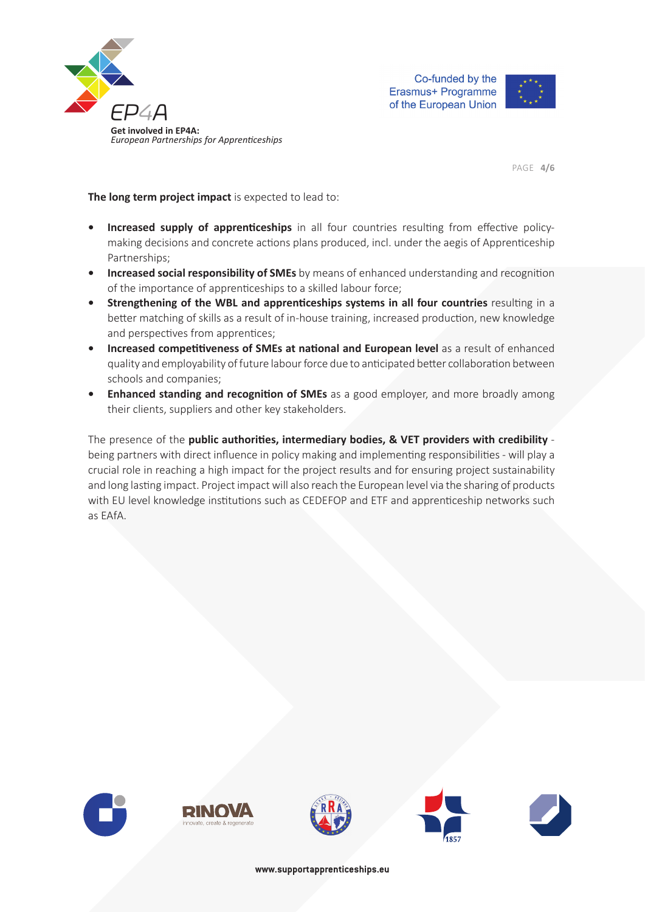





PAGE **4/6**

**The long term project impact** is expected to lead to:

- **Increased supply of apprenticeships** in all four countries resulting from effective policymaking decisions and concrete actions plans produced, incl. under the aegis of Apprenticeship Partnerships;
- **Increased social responsibility of SMEs** by means of enhanced understanding and recognition of the importance of apprenticeships to a skilled labour force;
- **Strengthening of the WBL and apprenticeships systems in all four countries resulting in a** better matching of skills as a result of in-house training, increased production, new knowledge and perspectives from apprentices;
- **Increased competitiveness of SMEs at national and European level as a result of enhanced** quality and employability of future labour force due to anticipated better collaboration between schools and companies;
- **Enhanced standing and recognition of SMEs** as a good employer, and more broadly among their clients, suppliers and other key stakeholders.

The presence of the **public authorities, intermediary bodies, & VET providers with credibility** being partners with direct influence in policy making and implementing responsibilities - will play a crucial role in reaching a high impact for the project results and for ensuring project sustainability and long lasting impact. Project impact will also reach the European level via the sharing of products with EU level knowledge institutions such as CEDEFOP and ETF and apprenticeship networks such as EAfA.









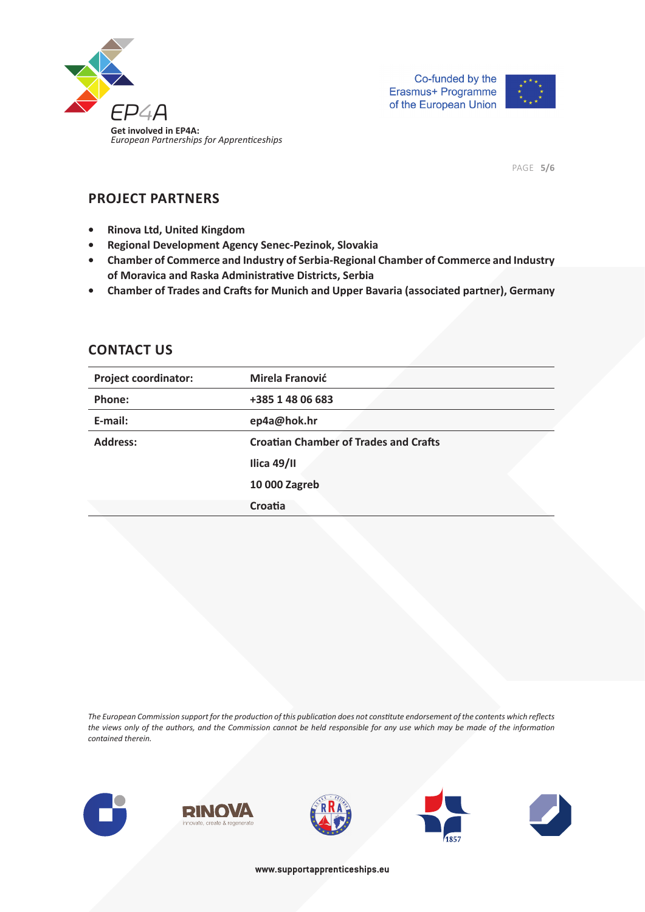



PAGE **5/6**

### **PROJECT PARTNERS**

- **Rinova Ltd, United Kingdom**
- **Regional Development Agency Senec-Pezinok, Slovakia**
- **Chamber of Commerce and Industry of Serbia-Regional Chamber of Commerce and Industry of Moravica and Raska AdministraƟ ve Districts, Serbia**
- **Chamber of Trades and Crafts for Munich and Upper Bavaria (associated partner), Germany**

#### **CONTACT US**

| <b>Project coordinator:</b> | Mirela Franović                              |
|-----------------------------|----------------------------------------------|
| Phone:                      | +385 1 48 06 683                             |
| E-mail:                     | ep4a@hok.hr                                  |
| <b>Address:</b>             | <b>Croatian Chamber of Trades and Crafts</b> |
|                             | Ilica 49/II                                  |
|                             | 10 000 Zagreb                                |
|                             | Croatia                                      |

*The European Commission support for the producƟ on of this publicaƟ on does not consƟ tute endorsement of the contents which refl ects*  the views only of the authors, and the Commission cannot be held responsible for any use which may be made of the information *contained therein.*